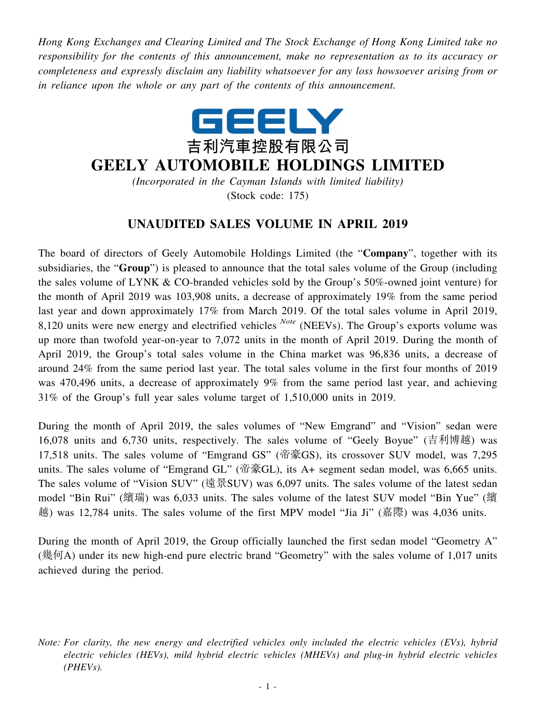*Hong Kong Exchanges and Clearing Limited and The Stock Exchange of Hong Kong Limited take no responsibility for the contents of this announcement, make no representation as to its accuracy or completeness and expressly disclaim any liability whatsoever for any loss howsoever arising from or in reliance upon the whole or any part of the contents of this announcement.*



## **GEELY AUTOMOBILE HOLDINGS LIMITED**

*(Incorporated in the Cayman Islands with limited liability)* (Stock code: 175)

## **UNAUDITED SALES VOLUME IN APRIL 2019**

The board of directors of Geely Automobile Holdings Limited (the "**Company**", together with its subsidiaries, the "**Group**") is pleased to announce that the total sales volume of the Group (including the sales volume of LYNK & CO-branded vehicles sold by the Group's 50%-owned joint venture) for the month of April 2019 was 103,908 units, a decrease of approximately 19% from the same period last year and down approximately 17% from March 2019. Of the total sales volume in April 2019, 8,120 units were new energy and electrified vehicles *Note* (NEEVs). The Group's exports volume was up more than twofold year-on-year to 7,072 units in the month of April 2019. During the month of April 2019, the Group's total sales volume in the China market was 96,836 units, a decrease of around 24% from the same period last year. The total sales volume in the first four months of 2019 was 470,496 units, a decrease of approximately 9% from the same period last year, and achieving 31% of the Group's full year sales volume target of 1,510,000 units in 2019.

During the month of April 2019, the sales volumes of "New Emgrand" and "Vision" sedan were 16,078 units and 6,730 units, respectively. The sales volume of "Geely Boyue" (吉利博越) was 17,518 units. The sales volume of "Emgrand GS" (帝豪GS), its crossover SUV model, was 7,295 units. The sales volume of "Emgrand GL" (帝豪GL), its A+ segment sedan model, was 6,665 units. The sales volume of "Vision SUV" (遠景SUV) was 6,097 units. The sales volume of the latest sedan model "Bin Rui" (繽瑞) was 6,033 units. The sales volume of the latest SUV model "Bin Yue" (繽 越) was 12,784 units. The sales volume of the first MPV model "Jia Ji" (嘉際) was 4,036 units.

During the month of April 2019, the Group officially launched the first sedan model "Geometry A" (幾何A) under its new high-end pure electric brand "Geometry" with the sales volume of 1,017 units achieved during the period.

*Note: For clarity, the new energy and electrified vehicles only included the electric vehicles (EVs), hybrid electric vehicles (HEVs), mild hybrid electric vehicles (MHEVs) and plug-in hybrid electric vehicles (PHEVs).*